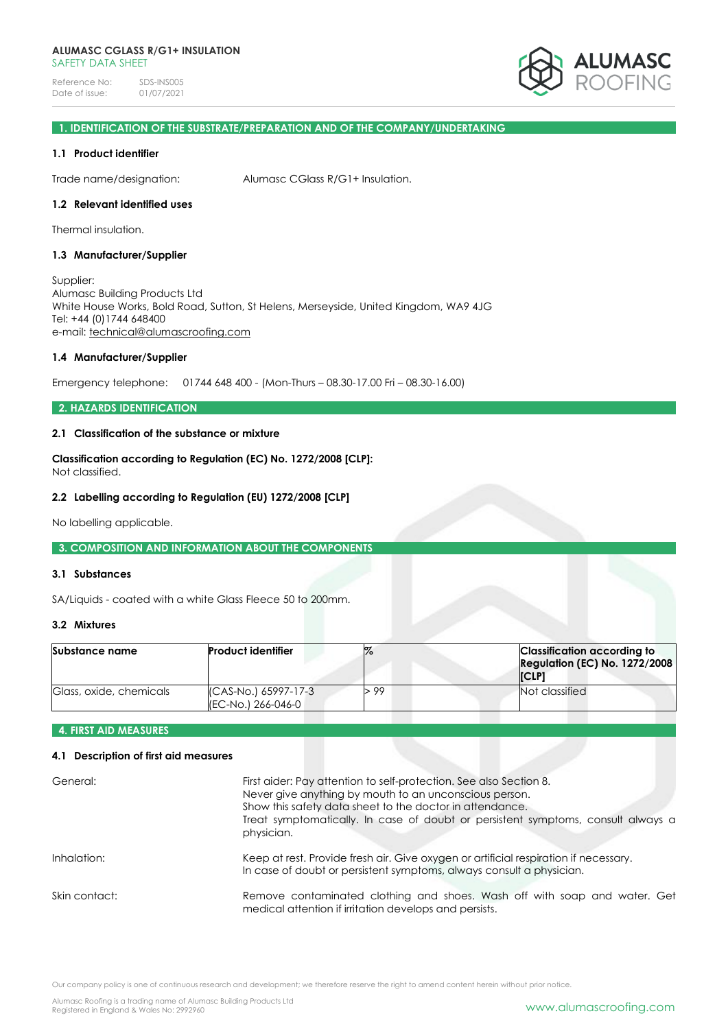Reference No: SDS-INS005<br>Date of issue: 01/07/2021 Date of issue:



# **1. IDENTIFICATION OF THE SUBSTRATE/PREPARATION AND OF THE COMPANY/UNDERTAKING**

## **1.1 Product identifier**

Trade name/designation: Alumasc CGlass R/G1+ Insulation.

# **1.2 Relevant identified uses**

Thermal insulation.

## **1.3 Manufacturer/Supplier**

Supplier: Alumasc Building Products Ltd White House Works, Bold Road, Sutton, St Helens, Merseyside, United Kingdom, WA9 4JG Tel: +44 (0)1744 648400 e-mail: [technical@alumascroofing.com](mailto:technical@alumascroofing.com)

## **1.4 Manufacturer/Supplier**

Emergency telephone: 01744 648 400 - (Mon-Thurs – 08.30-17.00 Fri – 08.30-16.00)

# **2. HAZARDS IDENTIFICATION**

# **2.1 Classification of the substance or mixture**

**Classification according to Regulation (EC) No. 1272/2008 [CLP]:** Not classified.

## **2.2 Labelling according to Regulation (EU) 1272/2008 [CLP]**

No labelling applicable.

## **3. COMPOSITION AND INFORMATION ABOUT THE COMPONENTS**

## **3.1 Substances**

SA/Liquids - coated with a white Glass Fleece 50 to 200mm.

# **3.2 Mixtures**

| Substance name          | <b>Product identifier</b>                     |      | <b>Classification according to</b><br><b>Regulation (EC) No. 1272/2008</b><br><b>ICLP1</b> |
|-------------------------|-----------------------------------------------|------|--------------------------------------------------------------------------------------------|
| Glass, oxide, chemicals | (CAS-No.) 65997-17-3<br>I(EC-No.) 266-046-0 ⊾ | > 99 | Not classified                                                                             |

## **4. FIRST AID MEASURES**

# **4.1 Description of first aid measures**

| General:      | First aider: Pay attention to self-protection. See also Section 8.<br>Never give anything by mouth to an unconscious person.<br>Show this safety data sheet to the doctor in attendance.<br>Treat symptomatically. In case of doubt or persistent symptoms, consult always a<br>physician. |
|---------------|--------------------------------------------------------------------------------------------------------------------------------------------------------------------------------------------------------------------------------------------------------------------------------------------|
| Inhalation:   | Keep at rest. Provide fresh air. Give oxygen or artificial respiration if necessary.<br>In case of doubt or persistent symptoms, always consult a physician.                                                                                                                               |
| Skin contact: | Remove contaminated clothing and shoes. Wash off with soap and water. Get<br>medical attention if irritation develops and persists.                                                                                                                                                        |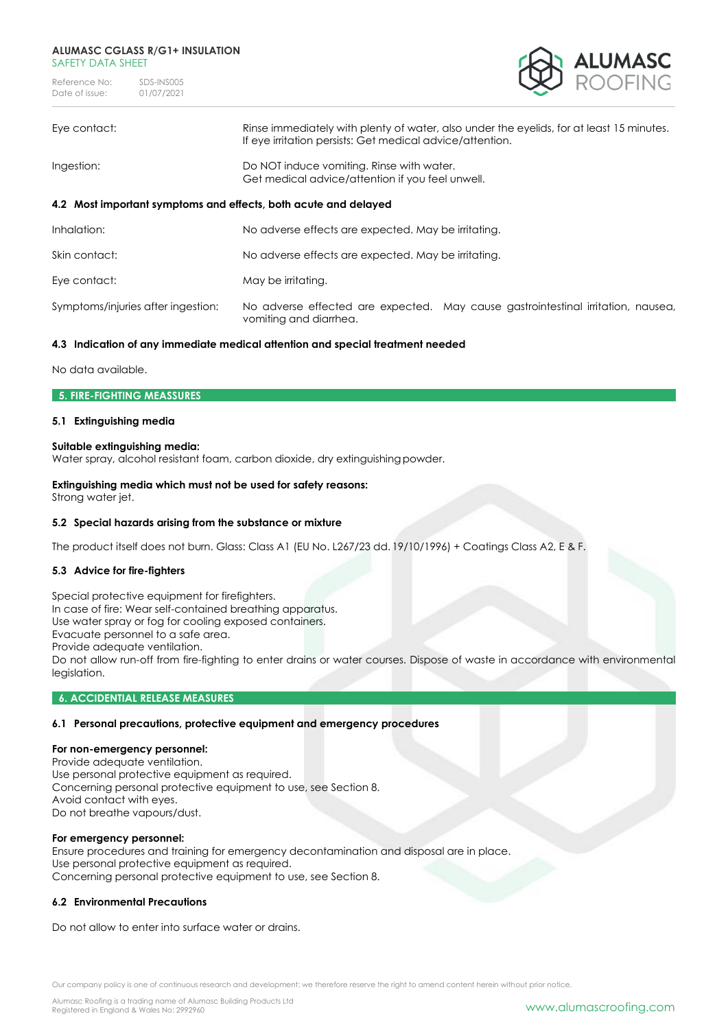Reference No: SDS-INS005<br>Date of issue: 01/07/2021 Date of issue:



| Eye contact:                                                    | Rinse immediately with plenty of water, also under the eyelids, for at least 15 minutes.<br>If eye irritation persists: Get medical advice/attention. |  |
|-----------------------------------------------------------------|-------------------------------------------------------------------------------------------------------------------------------------------------------|--|
| Ingestion:                                                      | Do NOT induce vomiting. Rinse with water.<br>Get medical advice/attention if you feel unwell.                                                         |  |
| 4.2 Most important symptoms and effects, both acute and delayed |                                                                                                                                                       |  |
| Inhalation:                                                     | No adverse effects are expected. May be irritating.                                                                                                   |  |
| Skin contact:                                                   | No adverse effects are expected. May be irritating.                                                                                                   |  |
| Eye contact:                                                    | May be irritating.                                                                                                                                    |  |
| Symptoms/injuries after ingestion:                              | No adverse effected are expected. May cause gastrointestinal irritation, nausea,<br>vomiting and diarrhea.                                            |  |

# **4.3 Indication of any immediate medical attention and special treatment needed**

No data available.

## **5. FIRE-FIGHTING MEASSURES**

# **5.1 Extinguishing media**

## **Suitable extinguishing media:**

Water spray, alcohol resistant foam, carbon dioxide, dry extinguishingpowder.

# **Extinguishing media which must not be used for safety reasons:**

Strong water jet.

## **5.2 Special hazards arising from the substance or mixture**

The product itself does not burn. Glass: Class A1 (EU No. L267/23 dd. 19/10/1996) + Coatings Class A2, E & F.

# **5.3 Advice for fire-fighters**

Special protective equipment for firefighters. In case of fire: Wear self-contained breathing apparatus. Use water spray or fog for cooling exposed containers. Evacuate personnel to a safe area. Provide adequate ventilation. Do not allow run-off from fire-fighting to enter drains or water courses. Dispose of waste in accordance with environmental leaislation.

## **6. ACCIDENTIAL RELEASE MEASURES**

## **6.1 Personal precautions, protective equipment and emergency procedures**

# **For non-emergency personnel:**

Provide adequate ventilation. Use personal protective equipment as required. Concerning personal protective equipment to use, see Section 8. Avoid contact with eyes. Do not breathe vapours/dust.

#### **For emergency personnel:**

Ensure procedures and training for emergency decontamination and disposal are in place. Use personal protective equipment as required. Concerning personal protective equipment to use, see Section 8.

# **6.2 Environmental Precautions**

Do not allow to enter into surface water or drains.

Our company policy is one of continuous research and development; we therefore reserve the right to amend content herein without prior notice.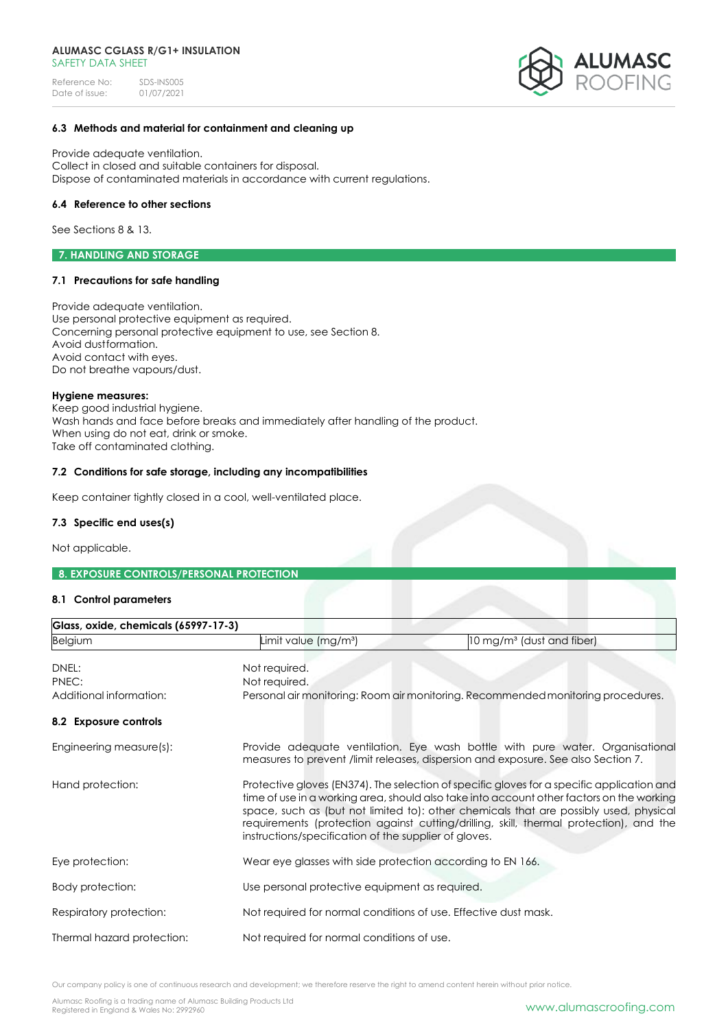Reference No: SDS-INS005<br>Date of issue: 01/07/2021 Date of issue:



# **6.3 Methods and material for containment and cleaning up**

Provide adequate ventilation. Collect in closed and suitable containers for disposal. Dispose of contaminated materials in accordance with current regulations.

## **6.4 Reference to other sections**

See Sections 8 & 13.

**7. HANDLING AND STORAGE** 

## **7.1 Precautions for safe handling**

Provide adequate ventilation. Use personal protective equipment as required. Concerning personal protective equipment to use, see Section 8. Avoid dustformation. Avoid contact with eyes. Do not breathe vapours/dust.

#### **Hygiene measures:**

Keep good industrial hygiene. Wash hands and face before breaks and immediately after handling of the product. When using do not eat, drink or smoke. Take off contaminated clothing.

## **7.2 Conditions for safe storage, including any incompatibilities**

Keep container tightly closed in a cool, well-ventilated place.

## **7.3 Specific end uses(s)**

Not applicable.

## **8. EXPOSURE CONTROLS/PERSONAL PROTECTION**

## **8.1 Control parameters**

| Glass, oxide, chemicals (65997-17-3)      |                                                                                                                                                                    |                                                                                                                                                                                                                                                                                                                                                                            |  |
|-------------------------------------------|--------------------------------------------------------------------------------------------------------------------------------------------------------------------|----------------------------------------------------------------------------------------------------------------------------------------------------------------------------------------------------------------------------------------------------------------------------------------------------------------------------------------------------------------------------|--|
| <b>Belgium</b>                            | Limit value (mg/m <sup>3</sup> )                                                                                                                                   | 10 mg/m <sup>3</sup> (dust and fiber)                                                                                                                                                                                                                                                                                                                                      |  |
| DNEL:<br>PNEC:<br>Additional information: | Not required.<br>Not required.                                                                                                                                     | Personal air monitoring: Room air monitoring. Recommended monitoring procedures.                                                                                                                                                                                                                                                                                           |  |
| 8.2 Exposure controls                     |                                                                                                                                                                    |                                                                                                                                                                                                                                                                                                                                                                            |  |
| Engineering measure(s):                   | Provide adequate ventilation. Eye wash bottle with pure water. Organisational<br>measures to prevent /limit releases, dispersion and exposure. See also Section 7. |                                                                                                                                                                                                                                                                                                                                                                            |  |
| Hand protection:                          | instructions/specification of the supplier of gloves.                                                                                                              | Protective gloves (EN374). The selection of specific gloves for a specific application and<br>time of use in a working area, should also take into account other factors on the working<br>space, such as (but not limited to): other chemicals that are possibly used, physical<br>requirements (protection against cutting/drilling, skill, thermal protection), and the |  |
| Eye protection:                           |                                                                                                                                                                    | Wear eye glasses with side protection according to EN 166.                                                                                                                                                                                                                                                                                                                 |  |
| Body protection:                          | Use personal protective equipment as required.                                                                                                                     |                                                                                                                                                                                                                                                                                                                                                                            |  |
| Respiratory protection:                   | Not required for normal conditions of use. Effective dust mask.                                                                                                    |                                                                                                                                                                                                                                                                                                                                                                            |  |
| Thermal hazard protection:                | Not required for normal conditions of use.                                                                                                                         |                                                                                                                                                                                                                                                                                                                                                                            |  |

Our company policy is one of continuous research and development; we therefore reserve the right to amend content herein without prior notice.

Alumasc Roofing is a trading name of Alumasc Building Products Ltd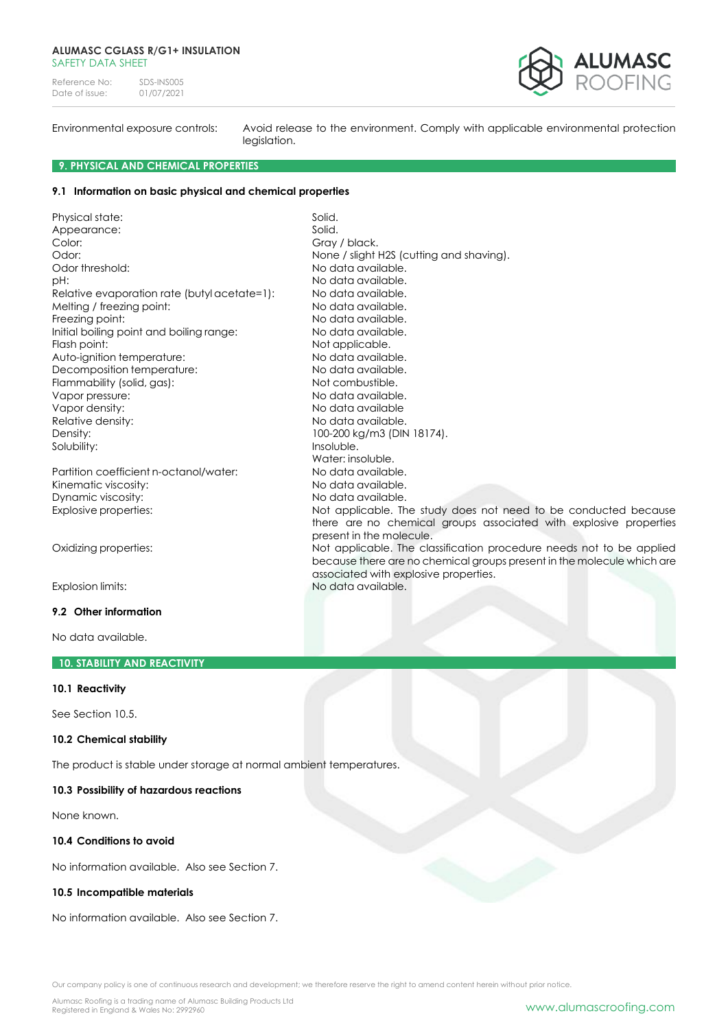Reference No: SDS-INS005<br>Date of issue: 01/07/2021 Date of issue:



Environmental exposure controls: Avoid release to the environment. Comply with applicable environmental protection legislation.

there are no chemical groups associated with explosive properties

because there are no chemical groups present in the molecule which are

100-200 kg/m3 (DIN 18174).

present in the molecule.

associated with explosive properties.

Water: insoluble.

## **9. PHYSICAL AND CHEMICAL PROPERTIES**

## **9.1 Information on basic physical and chemical properties**

Physical state: Solid. Appearance: Solid. Color: Color: Color: Color: Color: Color: Color: Color: Color: Color: Color: Color: Color: Color: Color: Color: Color: Color: Color: Color: Color: Color: Color: Color: Color: Color: Color: Color: Color: Color: Color: Color Odor: None / slight H2S (cutting and shaving). Odor threshold: No data available. pH:  $P$ Relative evaporation rate (butyl acetate=1): No data available. Melting / freezing point: No data available. Freezing point: The contract of the Modata available. Initial boiling point and boiling range: No data available. Flash point:<br>
Auto-ianition temperature: No data available.<br>
No data available. Auto-ignition temperature: Decomposition temperature: No data available. Flammability (solid, gas): Not combustible. Vapor pressure:  $\frac{1}{2}$  and  $\frac{1}{2}$  and  $\frac{1}{2}$  and  $\frac{1}{2}$  and  $\frac{1}{2}$  and  $\frac{1}{2}$  and  $\frac{1}{2}$  and  $\frac{1}{2}$  and  $\frac{1}{2}$  and  $\frac{1}{2}$  and  $\frac{1}{2}$  and  $\frac{1}{2}$  and  $\frac{1}{2}$  and  $\frac{1}{2}$  and  $\frac{1}{2}$  Vapor density: No data available Relative density:<br>
Density: No data available.<br>
100-200 kg/m3 (DIN) Solubility: Insoluble.

Partition coefficient n-octanol/water: No data available. Kinematic viscosity:  $\blacksquare$  No data available. Dynamic viscosity: No data available. Explosive properties: Not applicable. The study does not need to be conducted because

Oxidizing properties: Not applicable. The classification procedure needs not to be applied

Explosion limits: No data available.

# **9.2 Other information**

No data available.

#### **10. STABILITY AND REACTIVITY**

## **10.1 Reactivity**

See Section 10.5.

#### **10.2 Chemical stability**

The product is stable under storage at normal ambient temperatures.

#### **10.3 Possibility of hazardous reactions**

None known.

#### **10.4 Conditions to avoid**

No information available. Also see Section 7.

# **10.5 Incompatible materials**

No information available. Also see Section 7.

Our company policy is one of continuous research and development; we therefore reserve the right to amend content herein without prior notice.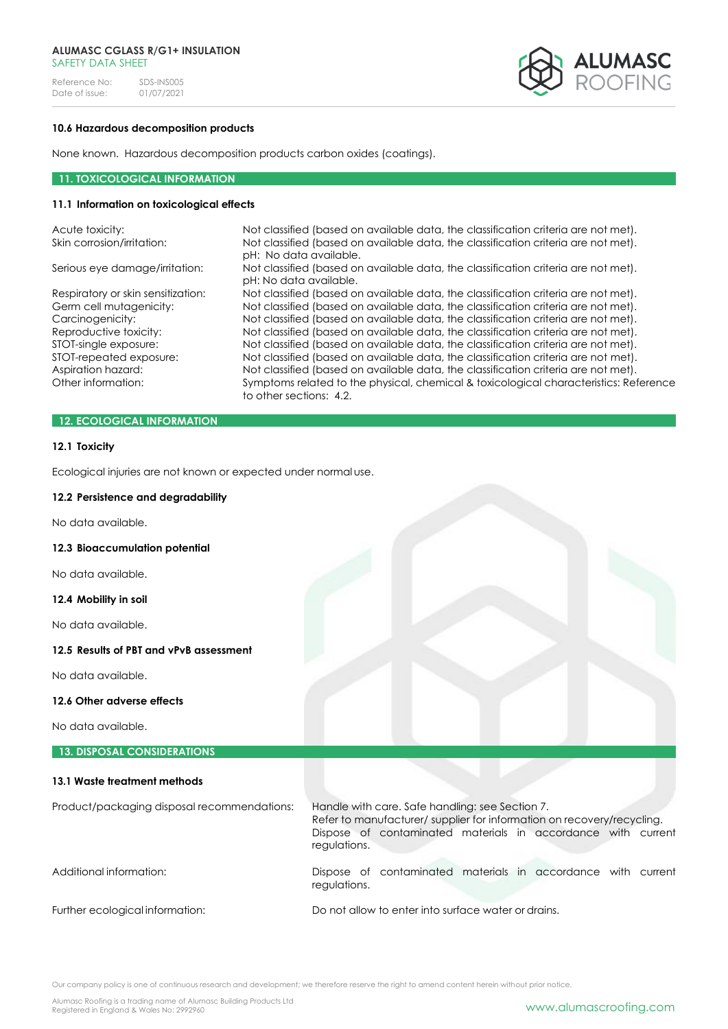Reference No: SDS-INS005<br>Date of issue: 01/07/2021 Date of issue:



# **10.6 Hazardous decomposition products**

None known. Hazardous decomposition products carbon oxides (coatings).

## **11. TOXICOLOGICAL INFORMATION**

# **11.1 Information on toxicological effects**

| Acute toxicity:                    | Not classified (based on available data, the classification criteria are not met).                               |
|------------------------------------|------------------------------------------------------------------------------------------------------------------|
| Skin corrosion/irritation:         | Not classified (based on available data, the classification criteria are not met).<br>pH: No data available.     |
| Serious eye damage/irritation:     | Not classified (based on available data, the classification criteria are not met).<br>pH: No data available.     |
| Respiratory or skin sensitization: | Not classified (based on available data, the classification criteria are not met).                               |
| Germ cell mutagenicity:            | Not classified (based on available data, the classification criteria are not met).                               |
| Carcinogenicity:                   | Not classified (based on available data, the classification criteria are not met).                               |
| Reproductive toxicity:             | Not classified (based on available data, the classification criteria are not met).                               |
| STOT-single exposure:              | Not classified (based on available data, the classification criteria are not met).                               |
| STOT-repeated exposure:            | Not classified (based on available data, the classification criteria are not met).                               |
| Aspiration hazard:                 | Not classified (based on available data, the classification criteria are not met).                               |
| Other information:                 | Symptoms related to the physical, chemical & toxicological characteristics: Reference<br>to other sections: 4.2. |

# **12. ECOLOGICAL INFORMATION**

## **12.1 Toxicity**

Ecological injuries are not known or expected under normal use.

#### **12.2 Persistence and degradability**

No data available.

#### **12.3 Bioaccumulation potential**

No data available.

# **12.4 Mobility in soil**

No data available.

# **12.5 Results of PBT and vPvB assessment**

No data available.

## **12.6 Other adverse effects**

No data available.

## **13. DISPOSAL CONSIDERATIONS**

| 13.1 Waste treatment methods                |                                                                                                                                                                                          |
|---------------------------------------------|------------------------------------------------------------------------------------------------------------------------------------------------------------------------------------------|
| Product/packaging disposal recommendations: | Handle with care. Safe handling: see Section 7.<br>Refer to manufacturer/supplier for information on recovery/recycling.<br>Dispose of contaminated materials in accordance with current |
|                                             | regulations.                                                                                                                                                                             |
| Additional information:                     | Dispose of contaminated materials in accordance with current<br>regulations.                                                                                                             |
| Further ecological information:             | Do not allow to enter into surface water or drains.                                                                                                                                      |

Our company policy is one of continuous research and development; we therefore reserve the right to amend content herein without prior notice.

Alumasc Roofing is a trading name of Alumasc Building Products Ltd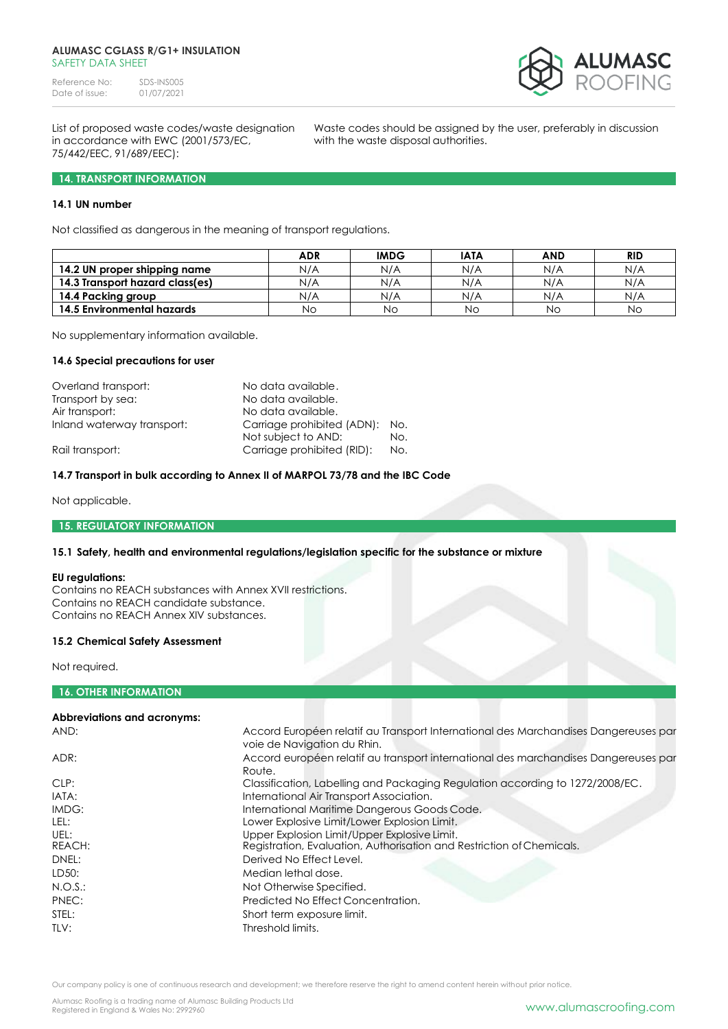Reference No: SDS-INS005<br>Date of issue: 01/07/2021 Date of issue:



in accordance with EWC (2001/573/EC, with the waste disposal authorities. 75/442/EEC, 91/689/EEC):

List of proposed waste codes/waste designation Waste codes should be assigned by the user, preferably in discussion

## **14. TRANSPORT INFORMATION**

# **14.1 UN number**

Not classified as dangerous in the meaning of transport regulations.

|                                 | <b>ADR</b> | <b>IMDG</b> | <b>IATA</b> | <b>AND</b> | <b>RID</b> |
|---------------------------------|------------|-------------|-------------|------------|------------|
| 14.2 UN proper shipping name    | N/A        | N/A         | N/A         | N/A        | N/A        |
| 14.3 Transport hazard class(es) | N/A        | N/A         | N/A         | N/A        | N/A        |
| 14.4 Packing group              | N/A        | N/A         | N/A         | N/A        | N/A        |
| 14.5 Environmental hazards      | Nο         | Νo          | Νo          | No         | Νo         |

No supplementary information available.

#### **14.6 Special precautions for user**

| Overland transport:        | No data available.         |     |
|----------------------------|----------------------------|-----|
| Transport by sea:          | No data available.         |     |
| Air transport:             | No data available.         |     |
| Inland waterway transport: | Carriage prohibited (ADN): | No. |
|                            | Not subject to AND:        | No. |
| Rail transport:            | Carriage prohibited (RID): | No. |

# **14.7 Transport in bulk according to Annex II of MARPOL 73/78 and the IBC Code**

Not applicable.

## **15. REGULATORY INFORMATION**

## **15.1 Safety, health and environmental regulations/legislation specific for the substance or mixture**

# **EU regulations:**

Contains no REACH substances with Annex XVII restrictions. Contains no REACH candidate substance. Contains no REACH Annex XIV substances.

#### **15.2 Chemical Safety Assessment**

Not required.

# **16. OTHER INFORMATION**

## **Abbreviations and acronyms:**

| AND:           | Accord Européen relatif au Transport International des Marchandises Dangereuses par<br>voie de Navigation du Rhin.    |
|----------------|-----------------------------------------------------------------------------------------------------------------------|
| ADR:           | Accord européen relatif au transport international des marchandises Dangereuses par<br>Route.                         |
| CLP:           | Classification, Labelling and Packaging Regulation according to 1272/2008/EC.                                         |
| IATA:          | International Air Transport Association.                                                                              |
| IMDG:          | International Maritime Dangerous Goods Code.                                                                          |
| LEL:           | Lower Explosive Limit/Lower Explosion Limit.                                                                          |
| UEL:<br>REACH: | Upper Explosion Limit/Upper Explosive Limit.<br>Registration, Evaluation, Authorisation and Restriction of Chemicals. |
| DNEL:          | Derived No Effect Level.                                                                                              |
| LD50:          | Median lethal dose.                                                                                                   |
| $N.O.S.$ :     | Not Otherwise Specified.                                                                                              |
| PNEC:          | Predicted No Effect Concentration.                                                                                    |
| STEL:          | Short term exposure limit.                                                                                            |
| TLV:           | Threshold limits.                                                                                                     |

Our company policy is one of continuous research and development; we therefore reserve the right to amend content herein without prior notice.

Alumasc Roofing is a trading name of Alumasc Building Products Ltd